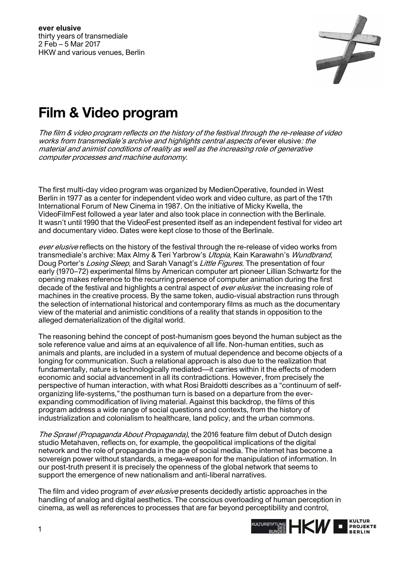

## **Film & Video program**

The film & video program reflects on the history of the festival through the re-release of video works from transmediale's archive and highlights central aspects of ever elusive: the material and animist conditions of reality as well as the increasing role of generative computer processes and machine autonomy.

The first multi-day video program was organized by MedienOperative, founded in West Berlin in 1977 as a center for independent video work and video culture, as part of the 17th International Forum of New Cinema in 1987. On the initiative of Micky Kwella, the VideoFilmFest followed a year later and also took place in connection with the Berlinale. It wasn't until 1990 that the VideoFest presented itself as an independent festival for video art and documentary video. Dates were kept close to those of the Berlinale.

ever elusive reflects on the history of the festival through the re-release of video works from transmediale's archive: Max Almy & Teri Yarbrow's Utopia, Kain Karawahn's Wundbrand, Doug Porter's Losing Sleep, and Sarah Vanagt's Little Figures. The presentation of four early (1970–72) experimental films by American computer art pioneer Lillian Schwartz for the opening makes reference to the recurring presence of computer animation during the first decade of the festival and highlights a central aspect of *ever elusive*: the increasing role of machines in the creative process. By the same token, audio-visual abstraction runs through the selection of international historical and contemporary films as much as the documentary view of the material and animistic conditions of a reality that stands in opposition to the alleged dematerialization of the digital world.

The reasoning behind the concept of post-humanism goes beyond the human subject as the sole reference value and aims at an equivalence of all life. Non-human entities, such as animals and plants, are included in a system of mutual dependence and become objects of a longing for communication. Such a relational approach is also due to the realization that fundamentally, nature is technologically mediated—it carries within it the effects of modern economic and social advancement in all its contradictions. However, from precisely the perspective of human interaction, with what Rosi Braidotti describes as a "continuum of selforganizing life-systems,"the posthuman turn is based on a departure from the everexpanding commodification of living material. Against this backdrop, the films of this program address a wide range of social questions and contexts, from the history of industrialization and colonialism to healthcare, land policy, and the urban commons.

The Sprawl (Propaganda About Propaganda), the 2016 feature film debut of Dutch design studio Metahaven, reflects on, for example, the geopolitical implications of the digital network and the role of propaganda in the age of social media. The internet has become a sovereign power without standards, a mega-weapon for the manipulation of information. In our post-truth present it is precisely the openness of the global network that seems to support the emergence of new nationalism and anti-liberal narratives.

The film and video program of *ever elusive* presents decidedly artistic approaches in the handling of analog and digital aesthetics. The conscious overloading of human perception in cinema, as well as references to processes that are far beyond perceptibility and control,